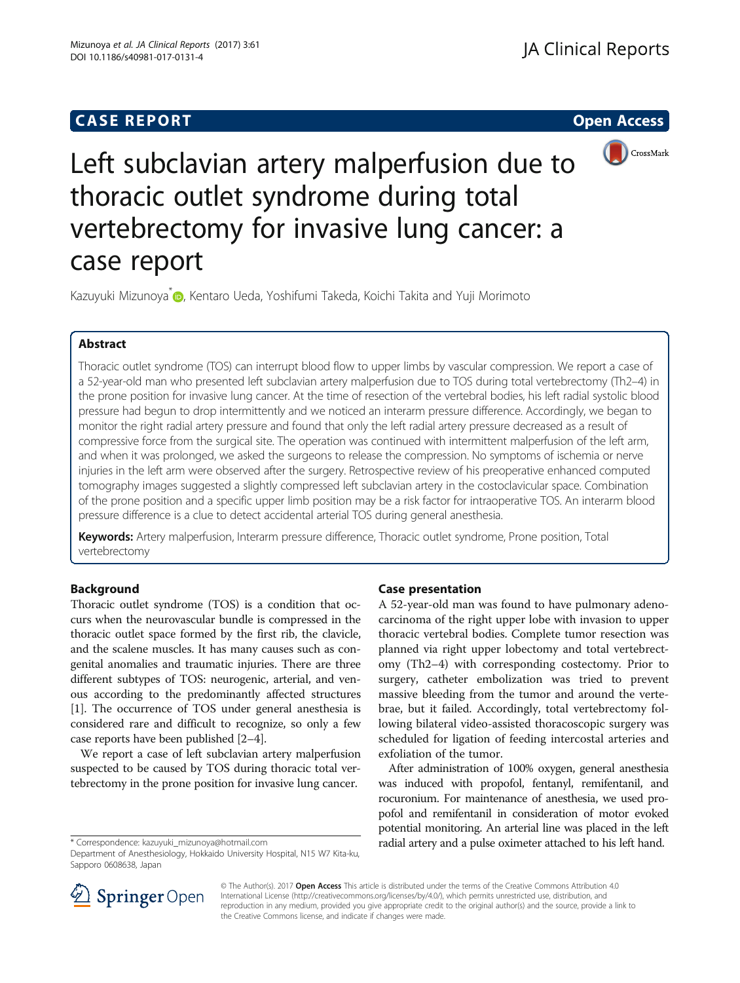# **CASE REPORT CASE REPORT CASE REPORT**



Left subclavian artery malperfusion due to thoracic outlet syndrome during total vertebrectomy for invasive lung cancer: a case report

Kazuyuki Mizunoya<sup>\*</sup> [,](http://orcid.org/0000-0002-2767-7236) Kentaro Ueda, Yoshifumi Takeda, Koichi Takita and Yuji Morimoto

### Abstract

Thoracic outlet syndrome (TOS) can interrupt blood flow to upper limbs by vascular compression. We report a case of a 52-year-old man who presented left subclavian artery malperfusion due to TOS during total vertebrectomy (Th2–4) in the prone position for invasive lung cancer. At the time of resection of the vertebral bodies, his left radial systolic blood pressure had begun to drop intermittently and we noticed an interarm pressure difference. Accordingly, we began to monitor the right radial artery pressure and found that only the left radial artery pressure decreased as a result of compressive force from the surgical site. The operation was continued with intermittent malperfusion of the left arm, and when it was prolonged, we asked the surgeons to release the compression. No symptoms of ischemia or nerve injuries in the left arm were observed after the surgery. Retrospective review of his preoperative enhanced computed tomography images suggested a slightly compressed left subclavian artery in the costoclavicular space. Combination of the prone position and a specific upper limb position may be a risk factor for intraoperative TOS. An interarm blood pressure difference is a clue to detect accidental arterial TOS during general anesthesia.

Keywords: Artery malperfusion, Interarm pressure difference, Thoracic outlet syndrome, Prone position, Total vertebrectomy

### Background

Thoracic outlet syndrome (TOS) is a condition that occurs when the neurovascular bundle is compressed in the thoracic outlet space formed by the first rib, the clavicle, and the scalene muscles. It has many causes such as congenital anomalies and traumatic injuries. There are three different subtypes of TOS: neurogenic, arterial, and venous according to the predominantly affected structures [[1\]](#page-2-0). The occurrence of TOS under general anesthesia is considered rare and difficult to recognize, so only a few case reports have been published [\[2](#page-2-0)–[4](#page-3-0)].

We report a case of left subclavian artery malperfusion suspected to be caused by TOS during thoracic total vertebrectomy in the prone position for invasive lung cancer.

### Case presentation

A 52-year-old man was found to have pulmonary adenocarcinoma of the right upper lobe with invasion to upper thoracic vertebral bodies. Complete tumor resection was planned via right upper lobectomy and total vertebrectomy (Th2–4) with corresponding costectomy. Prior to surgery, catheter embolization was tried to prevent massive bleeding from the tumor and around the vertebrae, but it failed. Accordingly, total vertebrectomy following bilateral video-assisted thoracoscopic surgery was scheduled for ligation of feeding intercostal arteries and exfoliation of the tumor.

After administration of 100% oxygen, general anesthesia was induced with propofol, fentanyl, remifentanil, and rocuronium. For maintenance of anesthesia, we used propofol and remifentanil in consideration of motor evoked potential monitoring. An arterial line was placed in the left \* Correspondence: [kazuyuki\\_mizunoya@hotmail.com](mailto:kazuyuki_mizunoya@hotmail.com) radial artery and a pulse oximeter attached to his left hand. Department of Anesthesiology, Hokkaido University Hospital, N15 W7 Kita-ku,



© The Author(s). 2017 Open Access This article is distributed under the terms of the Creative Commons Attribution 4.0 International License ([http://creativecommons.org/licenses/by/4.0/\)](http://creativecommons.org/licenses/by/4.0/), which permits unrestricted use, distribution, and reproduction in any medium, provided you give appropriate credit to the original author(s) and the source, provide a link to the Creative Commons license, and indicate if changes were made.

Sapporo 0608638, Japan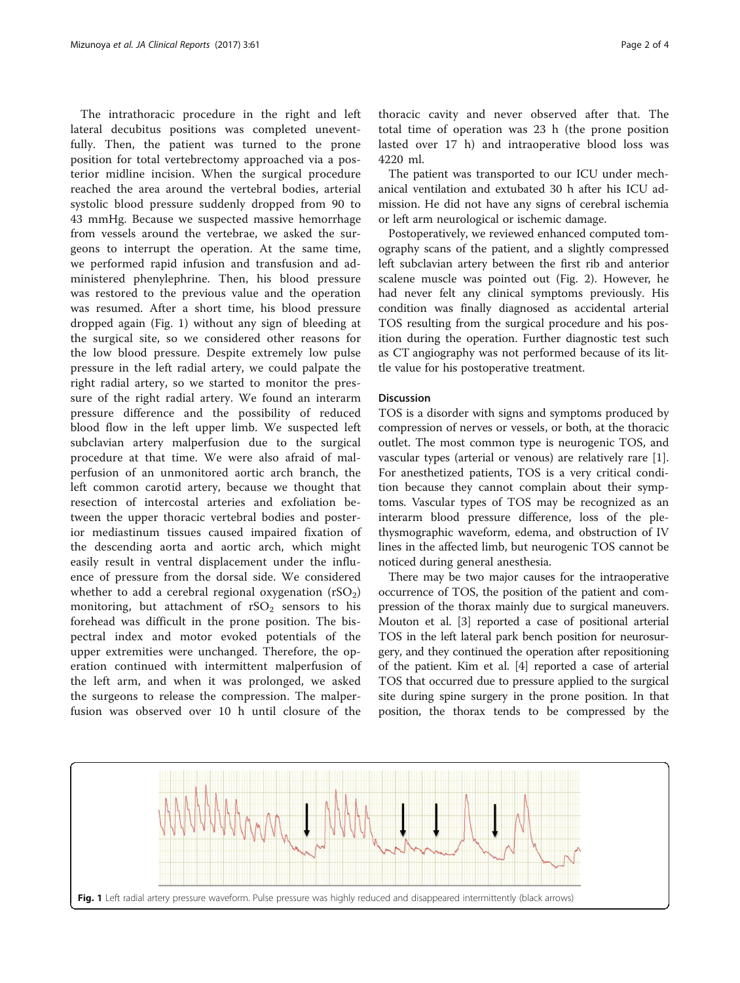The intrathoracic procedure in the right and left lateral decubitus positions was completed uneventfully. Then, the patient was turned to the prone position for total vertebrectomy approached via a posterior midline incision. When the surgical procedure reached the area around the vertebral bodies, arterial systolic blood pressure suddenly dropped from 90 to 43 mmHg. Because we suspected massive hemorrhage from vessels around the vertebrae, we asked the surgeons to interrupt the operation. At the same time, we performed rapid infusion and transfusion and administered phenylephrine. Then, his blood pressure was restored to the previous value and the operation was resumed. After a short time, his blood pressure dropped again (Fig. 1) without any sign of bleeding at the surgical site, so we considered other reasons for the low blood pressure. Despite extremely low pulse pressure in the left radial artery, we could palpate the right radial artery, so we started to monitor the pressure of the right radial artery. We found an interarm pressure difference and the possibility of reduced blood flow in the left upper limb. We suspected left subclavian artery malperfusion due to the surgical procedure at that time. We were also afraid of malperfusion of an unmonitored aortic arch branch, the left common carotid artery, because we thought that resection of intercostal arteries and exfoliation between the upper thoracic vertebral bodies and posterior mediastinum tissues caused impaired fixation of the descending aorta and aortic arch, which might easily result in ventral displacement under the influence of pressure from the dorsal side. We considered whether to add a cerebral regional oxygenation  $(rSO<sub>2</sub>)$ monitoring, but attachment of  $rSO<sub>2</sub>$  sensors to his forehead was difficult in the prone position. The bispectral index and motor evoked potentials of the upper extremities were unchanged. Therefore, the operation continued with intermittent malperfusion of the left arm, and when it was prolonged, we asked the surgeons to release the compression. The malperfusion was observed over 10 h until closure of the

thoracic cavity and never observed after that. The total time of operation was 23 h (the prone position lasted over 17 h) and intraoperative blood loss was 4220 ml.

The patient was transported to our ICU under mechanical ventilation and extubated 30 h after his ICU admission. He did not have any signs of cerebral ischemia or left arm neurological or ischemic damage.

Postoperatively, we reviewed enhanced computed tomography scans of the patient, and a slightly compressed left subclavian artery between the first rib and anterior scalene muscle was pointed out (Fig. [2](#page-2-0)). However, he had never felt any clinical symptoms previously. His condition was finally diagnosed as accidental arterial TOS resulting from the surgical procedure and his position during the operation. Further diagnostic test such as CT angiography was not performed because of its little value for his postoperative treatment.

#### **Discussion**

TOS is a disorder with signs and symptoms produced by compression of nerves or vessels, or both, at the thoracic outlet. The most common type is neurogenic TOS, and vascular types (arterial or venous) are relatively rare [\[1](#page-2-0)]. For anesthetized patients, TOS is a very critical condition because they cannot complain about their symptoms. Vascular types of TOS may be recognized as an interarm blood pressure difference, loss of the plethysmographic waveform, edema, and obstruction of IV lines in the affected limb, but neurogenic TOS cannot be noticed during general anesthesia.

There may be two major causes for the intraoperative occurrence of TOS, the position of the patient and compression of the thorax mainly due to surgical maneuvers. Mouton et al. [\[3](#page-3-0)] reported a case of positional arterial TOS in the left lateral park bench position for neurosurgery, and they continued the operation after repositioning of the patient. Kim et al. [[4](#page-3-0)] reported a case of arterial TOS that occurred due to pressure applied to the surgical site during spine surgery in the prone position. In that position, the thorax tends to be compressed by the

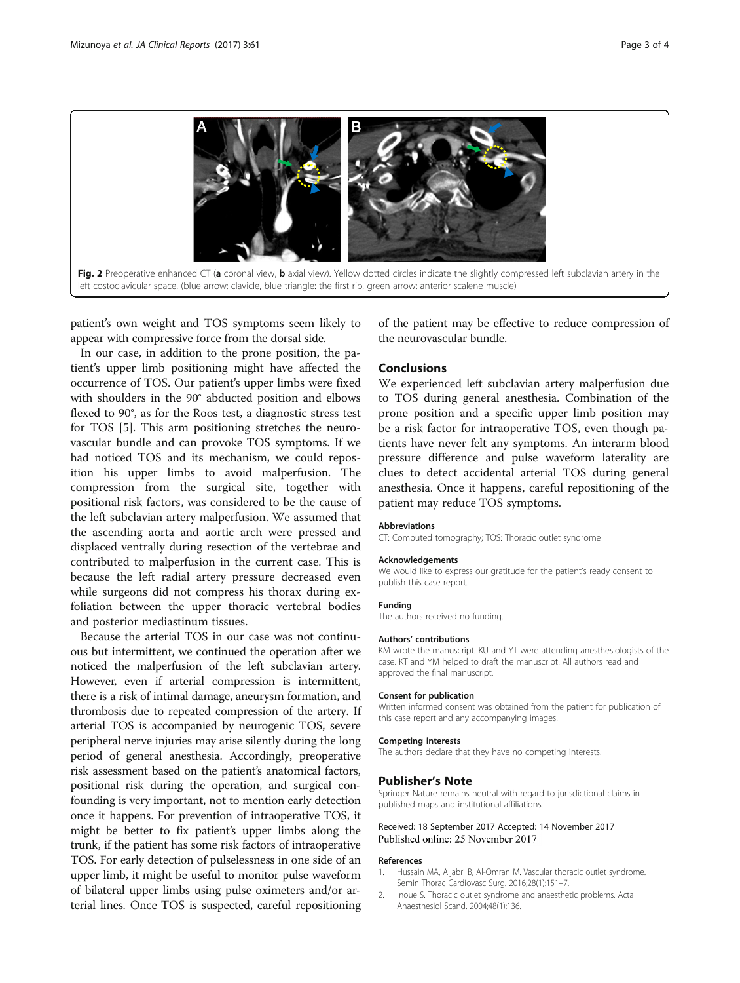

<span id="page-2-0"></span>

patient's own weight and TOS symptoms seem likely to appear with compressive force from the dorsal side.

In our case, in addition to the prone position, the patient's upper limb positioning might have affected the occurrence of TOS. Our patient's upper limbs were fixed with shoulders in the 90° abducted position and elbows flexed to 90°, as for the Roos test, a diagnostic stress test for TOS [\[5\]](#page-3-0). This arm positioning stretches the neurovascular bundle and can provoke TOS symptoms. If we had noticed TOS and its mechanism, we could reposition his upper limbs to avoid malperfusion. The compression from the surgical site, together with positional risk factors, was considered to be the cause of the left subclavian artery malperfusion. We assumed that the ascending aorta and aortic arch were pressed and displaced ventrally during resection of the vertebrae and contributed to malperfusion in the current case. This is because the left radial artery pressure decreased even while surgeons did not compress his thorax during exfoliation between the upper thoracic vertebral bodies and posterior mediastinum tissues.

Because the arterial TOS in our case was not continuous but intermittent, we continued the operation after we noticed the malperfusion of the left subclavian artery. However, even if arterial compression is intermittent, there is a risk of intimal damage, aneurysm formation, and thrombosis due to repeated compression of the artery. If arterial TOS is accompanied by neurogenic TOS, severe peripheral nerve injuries may arise silently during the long period of general anesthesia. Accordingly, preoperative risk assessment based on the patient's anatomical factors, positional risk during the operation, and surgical confounding is very important, not to mention early detection once it happens. For prevention of intraoperative TOS, it might be better to fix patient's upper limbs along the trunk, if the patient has some risk factors of intraoperative TOS. For early detection of pulselessness in one side of an upper limb, it might be useful to monitor pulse waveform of bilateral upper limbs using pulse oximeters and/or arterial lines. Once TOS is suspected, careful repositioning

of the patient may be effective to reduce compression of the neurovascular bundle.

### Conclusions

We experienced left subclavian artery malperfusion due to TOS during general anesthesia. Combination of the prone position and a specific upper limb position may be a risk factor for intraoperative TOS, even though patients have never felt any symptoms. An interarm blood pressure difference and pulse waveform laterality are clues to detect accidental arterial TOS during general anesthesia. Once it happens, careful repositioning of the patient may reduce TOS symptoms.

#### **Abbreviations**

CT: Computed tomography; TOS: Thoracic outlet syndrome

#### Acknowledgements

We would like to express our gratitude for the patient's ready consent to publish this case report.

#### Funding

The authors received no funding.

#### Authors' contributions

KM wrote the manuscript. KU and YT were attending anesthesiologists of the case. KT and YM helped to draft the manuscript. All authors read and approved the final manuscript.

#### Consent for publication

Written informed consent was obtained from the patient for publication of this case report and any accompanying images.

#### Competing interests

The authors declare that they have no competing interests.

#### Publisher's Note

Springer Nature remains neutral with regard to jurisdictional claims in published maps and institutional affiliations.

#### Received: 18 September 2017 Accepted: 14 November 2017 Published online: 25 November 2017

#### References

- 1. Hussain MA, Aljabri B, Al-Omran M. Vascular thoracic outlet syndrome. Semin Thorac Cardiovasc Surg. 2016;28(1):151–7.
- 2. Inoue S. Thoracic outlet syndrome and anaesthetic problems. Acta Anaesthesiol Scand. 2004;48(1):136.